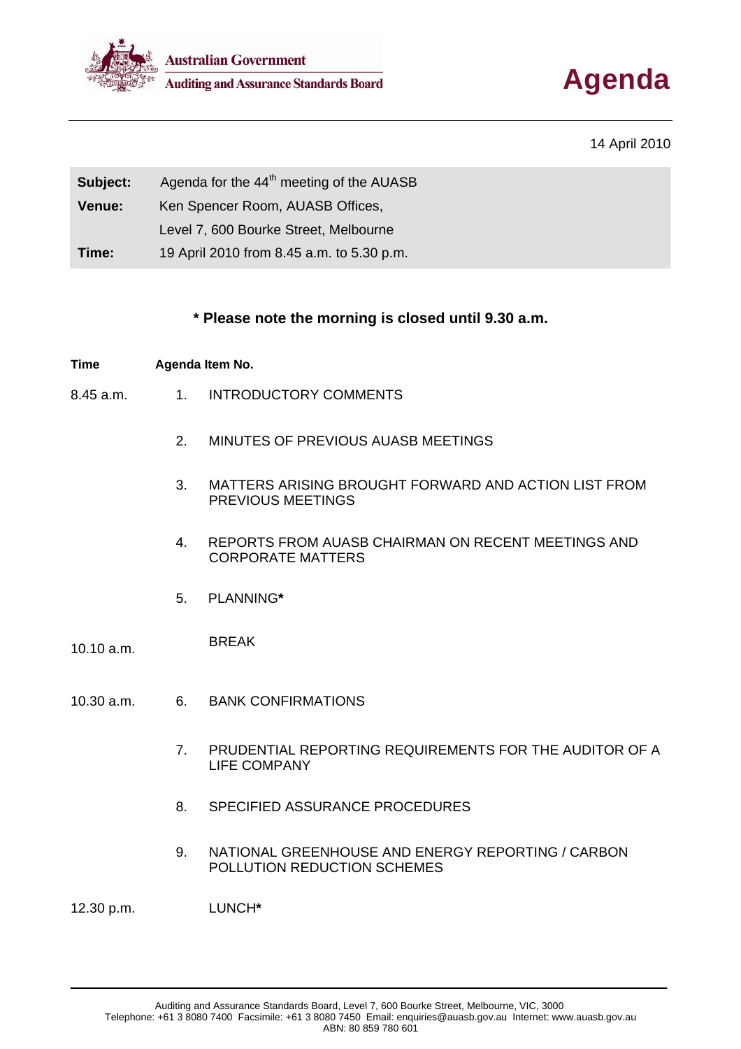



## 14 April 2010

| Subject: | Agenda for the 44 <sup>th</sup> meeting of the AUASB |
|----------|------------------------------------------------------|
| Venue:   | Ken Spencer Room, AUASB Offices,                     |
|          | Level 7, 600 Bourke Street, Melbourne                |
| Time:    | 19 April 2010 from 8.45 a.m. to 5.30 p.m.            |

## **\* Please note the morning is closed until 9.30 a.m.**

### **Time Agenda Item No.**

- 8.45 a.m. 1. INTRODUCTORY COMMENTS
	- 2. MINUTES OF PREVIOUS AUASB MEETINGS
	- 3. MATTERS ARISING BROUGHT FORWARD AND ACTION LIST FROM PREVIOUS MEETINGS
	- 4. REPORTS FROM AUASB CHAIRMAN ON RECENT MEETINGS AND CORPORATE MATTERS
	- 5. PLANNING**\***

# 10.10 a.m. BREAK

- 10.30 a.m. 6. BANK CONFIRMATIONS
	- 7. PRUDENTIAL REPORTING REQUIREMENTS FOR THE AUDITOR OF A LIFE COMPANY
	- 8. SPECIFIED ASSURANCE PROCEDURES
	- 9. NATIONAL GREENHOUSE AND ENERGY REPORTING / CARBON POLLUTION REDUCTION SCHEMES

12.30 p.m. LUNCH**\***